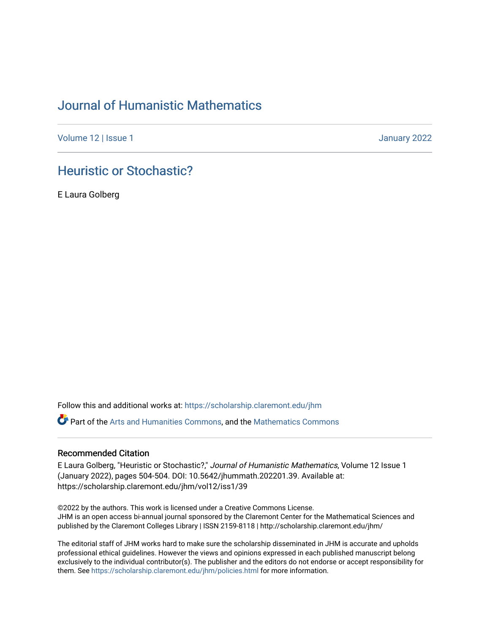## [Journal of Humanistic Mathematics](https://scholarship.claremont.edu/jhm)

[Volume 12](https://scholarship.claremont.edu/jhm/vol12) | Issue 1 January 2022

## [Heuristic or Stochastic?](https://scholarship.claremont.edu/jhm/vol12/iss1/39)

E Laura Golberg

Follow this and additional works at: [https://scholarship.claremont.edu/jhm](https://scholarship.claremont.edu/jhm?utm_source=scholarship.claremont.edu%2Fjhm%2Fvol12%2Fiss1%2F39&utm_medium=PDF&utm_campaign=PDFCoverPages)

Part of the [Arts and Humanities Commons,](http://network.bepress.com/hgg/discipline/438?utm_source=scholarship.claremont.edu%2Fjhm%2Fvol12%2Fiss1%2F39&utm_medium=PDF&utm_campaign=PDFCoverPages) and the [Mathematics Commons](http://network.bepress.com/hgg/discipline/174?utm_source=scholarship.claremont.edu%2Fjhm%2Fvol12%2Fiss1%2F39&utm_medium=PDF&utm_campaign=PDFCoverPages) 

## Recommended Citation

E Laura Golberg, "Heuristic or Stochastic?," Journal of Humanistic Mathematics, Volume 12 Issue 1 (January 2022), pages 504-504. DOI: 10.5642/jhummath.202201.39. Available at: https://scholarship.claremont.edu/jhm/vol12/iss1/39

©2022 by the authors. This work is licensed under a Creative Commons License. JHM is an open access bi-annual journal sponsored by the Claremont Center for the Mathematical Sciences and published by the Claremont Colleges Library | ISSN 2159-8118 | http://scholarship.claremont.edu/jhm/

The editorial staff of JHM works hard to make sure the scholarship disseminated in JHM is accurate and upholds professional ethical guidelines. However the views and opinions expressed in each published manuscript belong exclusively to the individual contributor(s). The publisher and the editors do not endorse or accept responsibility for them. See<https://scholarship.claremont.edu/jhm/policies.html> for more information.